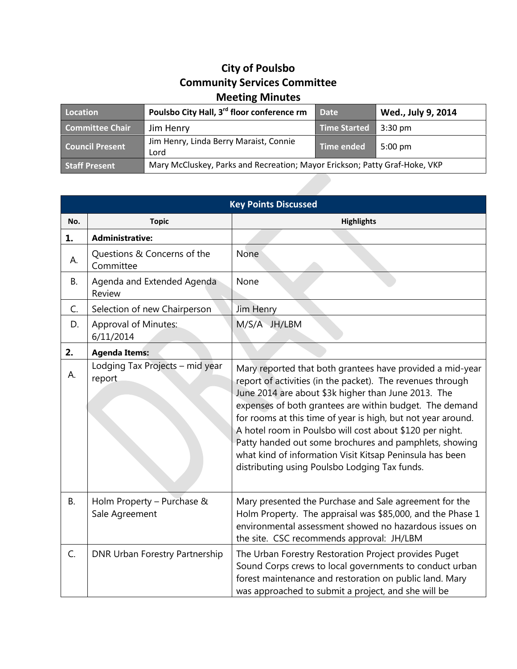## **City of Poulsbo Community Services Committee Meeting Minutes**

| Location               | Poulsbo City Hall, 3 <sup>rd</sup> floor conference rm                     | <b>Date</b>  | Wed., July 9, 2014 |
|------------------------|----------------------------------------------------------------------------|--------------|--------------------|
| Committee Chair        | Jim Henry                                                                  | Time Started | $3:30 \text{ pm}$  |
| <b>Council Present</b> | Jim Henry, Linda Berry Maraist, Connie<br>Lord                             | Time ended   | $5:00 \text{ pm}$  |
| <b>Staff Present</b>   | Mary McCluskey, Parks and Recreation; Mayor Erickson; Patty Graf-Hoke, VKP |              |                    |

| <b>Key Points Discussed</b> |                                              |                                                                                                                                                                                                                                                                                                                                                                                                                                                                                                                                              |  |  |
|-----------------------------|----------------------------------------------|----------------------------------------------------------------------------------------------------------------------------------------------------------------------------------------------------------------------------------------------------------------------------------------------------------------------------------------------------------------------------------------------------------------------------------------------------------------------------------------------------------------------------------------------|--|--|
| No.                         | <b>Topic</b>                                 | <b>Highlights</b>                                                                                                                                                                                                                                                                                                                                                                                                                                                                                                                            |  |  |
| 1.                          | <b>Administrative:</b>                       |                                                                                                                                                                                                                                                                                                                                                                                                                                                                                                                                              |  |  |
| А.                          | Questions & Concerns of the<br>Committee     | None                                                                                                                                                                                                                                                                                                                                                                                                                                                                                                                                         |  |  |
| В.                          | Agenda and Extended Agenda<br>Review         | None                                                                                                                                                                                                                                                                                                                                                                                                                                                                                                                                         |  |  |
| $C_{1}$                     | Selection of new Chairperson                 | Jim Henry                                                                                                                                                                                                                                                                                                                                                                                                                                                                                                                                    |  |  |
| D.                          | <b>Approval of Minutes:</b><br>6/11/2014     | M/S/A JH/LBM                                                                                                                                                                                                                                                                                                                                                                                                                                                                                                                                 |  |  |
| 2.                          | <b>Agenda Items:</b>                         |                                                                                                                                                                                                                                                                                                                                                                                                                                                                                                                                              |  |  |
| А.                          | Lodging Tax Projects - mid year<br>report    | Mary reported that both grantees have provided a mid-year<br>report of activities (in the packet). The revenues through<br>June 2014 are about \$3k higher than June 2013. The<br>expenses of both grantees are within budget. The demand<br>for rooms at this time of year is high, but not year around.<br>A hotel room in Poulsbo will cost about \$120 per night.<br>Patty handed out some brochures and pamphlets, showing<br>what kind of information Visit Kitsap Peninsula has been<br>distributing using Poulsbo Lodging Tax funds. |  |  |
| <b>B.</b>                   | Holm Property - Purchase &<br>Sale Agreement | Mary presented the Purchase and Sale agreement for the<br>Holm Property. The appraisal was \$85,000, and the Phase 1<br>environmental assessment showed no hazardous issues on<br>the site. CSC recommends approval: JH/LBM                                                                                                                                                                                                                                                                                                                  |  |  |
| C.                          | <b>DNR Urban Forestry Partnership</b>        | The Urban Forestry Restoration Project provides Puget<br>Sound Corps crews to local governments to conduct urban<br>forest maintenance and restoration on public land. Mary<br>was approached to submit a project, and she will be                                                                                                                                                                                                                                                                                                           |  |  |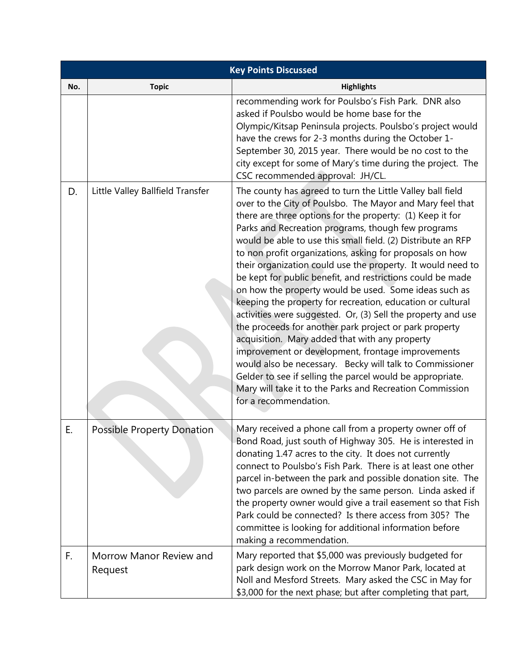| <b>Key Points Discussed</b> |                                    |                                                                                                                                                                                                                                                                                                                                                                                                                                                                                                                                                                                                                                                                                                                                                                                                                                                                                                                                                                                                                                                                           |  |  |
|-----------------------------|------------------------------------|---------------------------------------------------------------------------------------------------------------------------------------------------------------------------------------------------------------------------------------------------------------------------------------------------------------------------------------------------------------------------------------------------------------------------------------------------------------------------------------------------------------------------------------------------------------------------------------------------------------------------------------------------------------------------------------------------------------------------------------------------------------------------------------------------------------------------------------------------------------------------------------------------------------------------------------------------------------------------------------------------------------------------------------------------------------------------|--|--|
| No.                         | <b>Topic</b>                       | <b>Highlights</b>                                                                                                                                                                                                                                                                                                                                                                                                                                                                                                                                                                                                                                                                                                                                                                                                                                                                                                                                                                                                                                                         |  |  |
|                             |                                    | recommending work for Poulsbo's Fish Park. DNR also<br>asked if Poulsbo would be home base for the<br>Olympic/Kitsap Peninsula projects. Poulsbo's project would<br>have the crews for 2-3 months during the October 1-<br>September 30, 2015 year. There would be no cost to the<br>city except for some of Mary's time during the project. The<br>CSC recommended approval: JH/CL.                                                                                                                                                                                                                                                                                                                                                                                                                                                                                                                                                                                                                                                                                      |  |  |
| D.                          | Little Valley Ballfield Transfer   | The county has agreed to turn the Little Valley ball field<br>over to the City of Poulsbo. The Mayor and Mary feel that<br>there are three options for the property: (1) Keep it for<br>Parks and Recreation programs, though few programs<br>would be able to use this small field. (2) Distribute an RFP<br>to non profit organizations, asking for proposals on how<br>their organization could use the property. It would need to<br>be kept for public benefit, and restrictions could be made<br>on how the property would be used. Some ideas such as<br>keeping the property for recreation, education or cultural<br>activities were suggested. Or, (3) Sell the property and use<br>the proceeds for another park project or park property<br>acquisition. Mary added that with any property<br>improvement or development, frontage improvements<br>would also be necessary. Becky will talk to Commissioner<br>Gelder to see if selling the parcel would be appropriate.<br>Mary will take it to the Parks and Recreation Commission<br>for a recommendation. |  |  |
| Ε.                          | <b>Possible Property Donation</b>  | Mary received a phone call from a property owner off of<br>Bond Road, just south of Highway 305. He is interested in<br>donating 1.47 acres to the city. It does not currently<br>connect to Poulsbo's Fish Park. There is at least one other<br>parcel in-between the park and possible donation site. The<br>two parcels are owned by the same person. Linda asked if<br>the property owner would give a trail easement so that Fish<br>Park could be connected? Is there access from 305? The<br>committee is looking for additional information before<br>making a recommendation.                                                                                                                                                                                                                                                                                                                                                                                                                                                                                    |  |  |
| F.                          | Morrow Manor Review and<br>Request | Mary reported that \$5,000 was previously budgeted for<br>park design work on the Morrow Manor Park, located at<br>Noll and Mesford Streets. Mary asked the CSC in May for<br>\$3,000 for the next phase; but after completing that part,                                                                                                                                                                                                                                                                                                                                                                                                                                                                                                                                                                                                                                                                                                                                                                                                                                 |  |  |